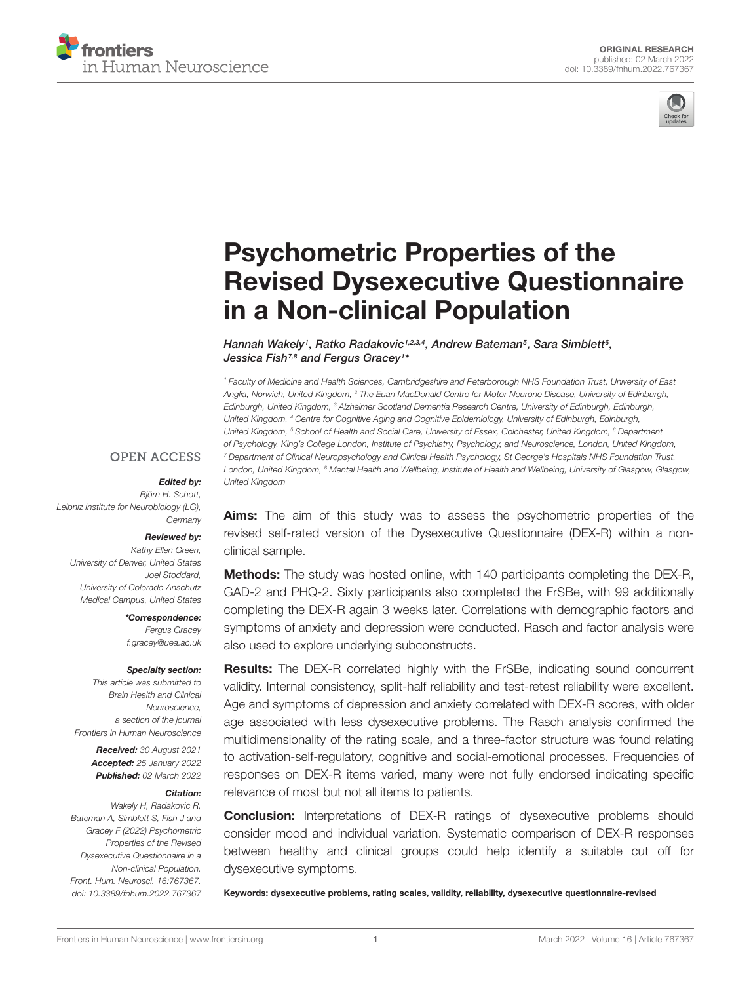



# Psychometric Properties of the [Revised Dysexecutive Questionnaire](https://www.frontiersin.org/articles/10.3389/fnhum.2022.767367/full) in a Non-clinical Population

Hannah Wakely<sup>1</sup>, Ratko Radakovic<sup>1,2,3,4</sup>, Andrew Bateman<sup>5</sup>, Sara Simblett<sup>6</sup>, Jessica Fish<sup>7,8</sup> and Fergus Gracey<sup>1</sup>\*

<sup>1</sup> Faculty of Medicine and Health Sciences, Cambridgeshire and Peterborough NHS Foundation Trust, University of East Anglia, Norwich, United Kingdom, <sup>2</sup> The Euan MacDonald Centre for Motor Neurone Disease, University of Edinburgh, Edinburgh, United Kingdom, <sup>3</sup> Alzheimer Scotland Dementia Research Centre, University of Edinburgh, Edinburgh, United Kingdom, <sup>4</sup> Centre for Cognitive Aging and Cognitive Epidemiology, University of Edinburgh, Edinburgh, United Kingdom, <sup>5</sup> School of Health and Social Care, University of Essex, Colchester, United Kingdom, <sup>6</sup> Department of Psychology, King's College London, Institute of Psychiatry, Psychology, and Neuroscience, London, United Kingdom, <sup>7</sup> Department of Clinical Neuropsychology and Clinical Health Psychology, St George's Hospitals NHS Foundation Trust, London, United Kingdom, <sup>8</sup> Mental Health and Wellbeing, Institute of Health and Wellbeing, University of Glasgow, Glasgow, United Kingdom

#### **OPEN ACCESS**

### Edited by:

Björn H. Schott, Leibniz Institute for Neurobiology (LG), **Germany** 

#### Reviewed by:

Kathy Ellen Green, University of Denver, United States Joel Stoddard, University of Colorado Anschutz Medical Campus, United States

> \*Correspondence: Fergus Gracey f.gracey@uea.ac.uk

#### Specialty section:

This article was submitted to Brain Health and Clinical Neuroscience, a section of the journal Frontiers in Human Neuroscience

> Received: 30 August 2021 Accepted: 25 January 2022 Published: 02 March 2022

#### Citation:

Wakely H, Radakovic R, Bateman A, Simblett S, Fish J and Gracey F (2022) Psychometric Properties of the Revised Dysexecutive Questionnaire in a Non-clinical Population. Front. Hum. Neurosci. 16:767367. doi: [10.3389/fnhum.2022.767367](https://doi.org/10.3389/fnhum.2022.767367)

Aims: The aim of this study was to assess the psychometric properties of the revised self-rated version of the Dysexecutive Questionnaire (DEX-R) within a nonclinical sample.

**Methods:** The study was hosted online, with 140 participants completing the DEX-R, GAD-2 and PHQ-2. Sixty participants also completed the FrSBe, with 99 additionally completing the DEX-R again 3 weeks later. Correlations with demographic factors and symptoms of anxiety and depression were conducted. Rasch and factor analysis were also used to explore underlying subconstructs.

Results: The DEX-R correlated highly with the FrSBe, indicating sound concurrent validity. Internal consistency, split-half reliability and test-retest reliability were excellent. Age and symptoms of depression and anxiety correlated with DEX-R scores, with older age associated with less dysexecutive problems. The Rasch analysis confirmed the multidimensionality of the rating scale, and a three-factor structure was found relating to activation-self-regulatory, cognitive and social-emotional processes. Frequencies of responses on DEX-R items varied, many were not fully endorsed indicating specific relevance of most but not all items to patients.

**Conclusion:** Interpretations of DEX-R ratings of dysexecutive problems should consider mood and individual variation. Systematic comparison of DEX-R responses between healthy and clinical groups could help identify a suitable cut off for dysexecutive symptoms.

Keywords: dysexecutive problems, rating scales, validity, reliability, dysexecutive questionnaire-revised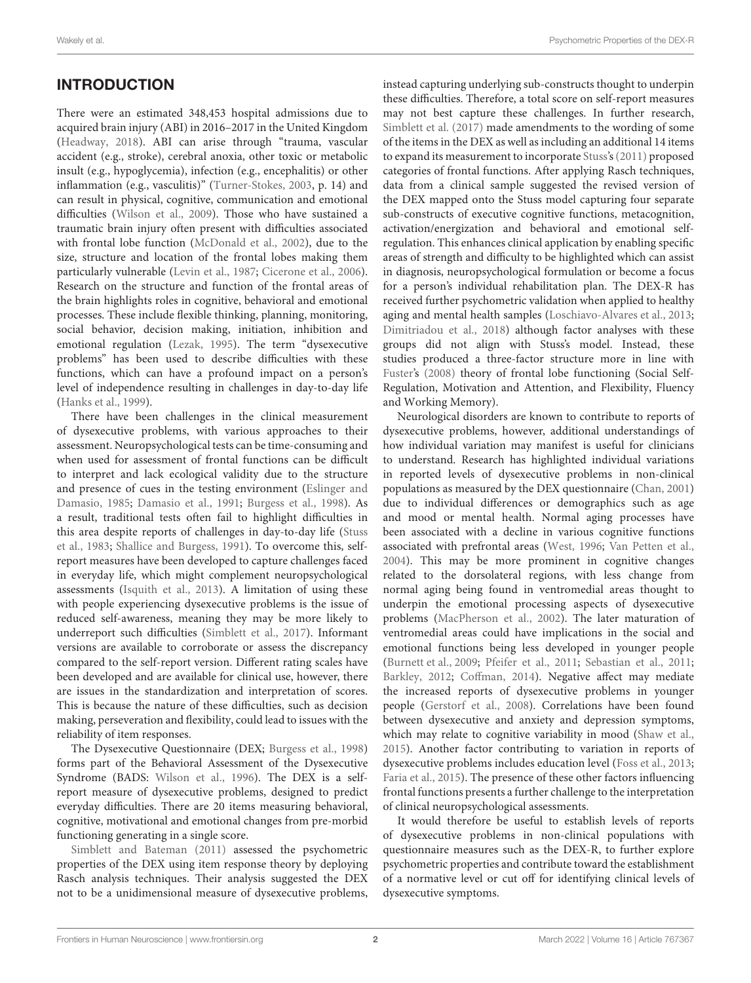# **INTRODUCTION**

There were an estimated 348,453 hospital admissions due to acquired brain injury (ABI) in 2016–2017 in the United Kingdom [\(Headway,](#page-9-0) [2018\)](#page-9-0). ABI can arise through "trauma, vascular accident (e.g., stroke), cerebral anoxia, other toxic or metabolic insult (e.g., hypoglycemia), infection (e.g., encephalitis) or other inflammation (e.g., vasculitis)" [\(Turner-Stokes,](#page-10-0) [2003,](#page-10-0) p. 14) and can result in physical, cognitive, communication and emotional difficulties [\(Wilson et al.,](#page-10-1) [2009\)](#page-10-1). Those who have sustained a traumatic brain injury often present with difficulties associated with frontal lobe function [\(McDonald et al.,](#page-10-2) [2002\)](#page-10-2), due to the size, structure and location of the frontal lobes making them particularly vulnerable [\(Levin et al.,](#page-10-3) [1987;](#page-10-3) [Cicerone et al.,](#page-9-1) [2006\)](#page-9-1). Research on the structure and function of the frontal areas of the brain highlights roles in cognitive, behavioral and emotional processes. These include flexible thinking, planning, monitoring, social behavior, decision making, initiation, inhibition and emotional regulation [\(Lezak,](#page-10-4) [1995\)](#page-10-4). The term "dysexecutive problems" has been used to describe difficulties with these functions, which can have a profound impact on a person's level of independence resulting in challenges in day-to-day life [\(Hanks et al.,](#page-9-2) [1999\)](#page-9-2).

There have been challenges in the clinical measurement of dysexecutive problems, with various approaches to their assessment. Neuropsychological tests can be time-consuming and when used for assessment of frontal functions can be difficult to interpret and lack ecological validity due to the structure and presence of cues in the testing environment [\(Eslinger and](#page-9-3) [Damasio,](#page-9-3) [1985;](#page-9-3) [Damasio et al.,](#page-9-4) [1991;](#page-9-4) [Burgess et al.,](#page-9-5) [1998\)](#page-9-5). As a result, traditional tests often fail to highlight difficulties in this area despite reports of challenges in day-to-day life [\(Stuss](#page-10-5) [et al.,](#page-10-5) [1983;](#page-10-5) [Shallice and Burgess,](#page-10-6) [1991\)](#page-10-6). To overcome this, selfreport measures have been developed to capture challenges faced in everyday life, which might complement neuropsychological assessments [\(Isquith et al.,](#page-9-6) [2013\)](#page-9-6). A limitation of using these with people experiencing dysexecutive problems is the issue of reduced self-awareness, meaning they may be more likely to underreport such difficulties [\(Simblett et al.,](#page-10-7) [2017\)](#page-10-7). Informant versions are available to corroborate or assess the discrepancy compared to the self-report version. Different rating scales have been developed and are available for clinical use, however, there are issues in the standardization and interpretation of scores. This is because the nature of these difficulties, such as decision making, perseveration and flexibility, could lead to issues with the reliability of item responses.

The Dysexecutive Questionnaire (DEX; [Burgess et al.,](#page-9-5) [1998\)](#page-9-5) forms part of the Behavioral Assessment of the Dysexecutive Syndrome (BADS: [Wilson et al.,](#page-10-8) [1996\)](#page-10-8). The DEX is a selfreport measure of dysexecutive problems, designed to predict everyday difficulties. There are 20 items measuring behavioral, cognitive, motivational and emotional changes from pre-morbid functioning generating in a single score.

[Simblett and Bateman](#page-10-9) [\(2011\)](#page-10-9) assessed the psychometric properties of the DEX using item response theory by deploying Rasch analysis techniques. Their analysis suggested the DEX not to be a unidimensional measure of dysexecutive problems,

instead capturing underlying sub-constructs thought to underpin these difficulties. Therefore, a total score on self-report measures may not best capture these challenges. In further research, [Simblett et al.](#page-10-7) [\(2017\)](#page-10-7) made amendments to the wording of some of the items in the DEX as well as including an additional 14 items to expand its measurement to incorporate [Stuss'](#page-10-10)s[\(2011\)](#page-10-10) proposed categories of frontal functions. After applying Rasch techniques, data from a clinical sample suggested the revised version of the DEX mapped onto the Stuss model capturing four separate sub-constructs of executive cognitive functions, metacognition, activation/energization and behavioral and emotional selfregulation. This enhances clinical application by enabling specific areas of strength and difficulty to be highlighted which can assist in diagnosis, neuropsychological formulation or become a focus for a person's individual rehabilitation plan. The DEX-R has received further psychometric validation when applied to healthy aging and mental health samples [\(Loschiavo-Alvares et al.,](#page-10-11) [2013;](#page-10-11) [Dimitriadou et al.,](#page-9-7) [2018\)](#page-9-7) although factor analyses with these groups did not align with Stuss's model. Instead, these studies produced a three-factor structure more in line with [Fuster's](#page-9-8) [\(2008\)](#page-9-8) theory of frontal lobe functioning (Social Self-Regulation, Motivation and Attention, and Flexibility, Fluency and Working Memory).

Neurological disorders are known to contribute to reports of dysexecutive problems, however, additional understandings of how individual variation may manifest is useful for clinicians to understand. Research has highlighted individual variations in reported levels of dysexecutive problems in non-clinical populations as measured by the DEX questionnaire [\(Chan,](#page-9-9) [2001\)](#page-9-9) due to individual differences or demographics such as age and mood or mental health. Normal aging processes have been associated with a decline in various cognitive functions associated with prefrontal areas [\(West,](#page-10-12) [1996;](#page-10-12) [Van Petten et al.,](#page-10-13) [2004\)](#page-10-13). This may be more prominent in cognitive changes related to the dorsolateral regions, with less change from normal aging being found in ventromedial areas thought to underpin the emotional processing aspects of dysexecutive problems [\(MacPherson et al.,](#page-10-14) [2002\)](#page-10-14). The later maturation of ventromedial areas could have implications in the social and emotional functions being less developed in younger people [\(Burnett et al.,](#page-9-10) [2009;](#page-9-10) [Pfeifer et al.,](#page-10-15) [2011;](#page-10-15) [Sebastian et al.,](#page-10-16) [2011;](#page-10-16) [Barkley,](#page-9-11) [2012;](#page-9-11) [Coffman,](#page-9-12) [2014\)](#page-9-12). Negative affect may mediate the increased reports of dysexecutive problems in younger people [\(Gerstorf et al.,](#page-9-13) [2008\)](#page-9-13). Correlations have been found between dysexecutive and anxiety and depression symptoms, which may relate to cognitive variability in mood [\(Shaw et al.,](#page-10-17) [2015\)](#page-10-17). Another factor contributing to variation in reports of dysexecutive problems includes education level [\(Foss et al.,](#page-9-14) [2013;](#page-9-14) [Faria et al.,](#page-9-15) [2015\)](#page-9-15). The presence of these other factors influencing frontal functions presents a further challenge to the interpretation of clinical neuropsychological assessments.

It would therefore be useful to establish levels of reports of dysexecutive problems in non-clinical populations with questionnaire measures such as the DEX-R, to further explore psychometric properties and contribute toward the establishment of a normative level or cut off for identifying clinical levels of dysexecutive symptoms.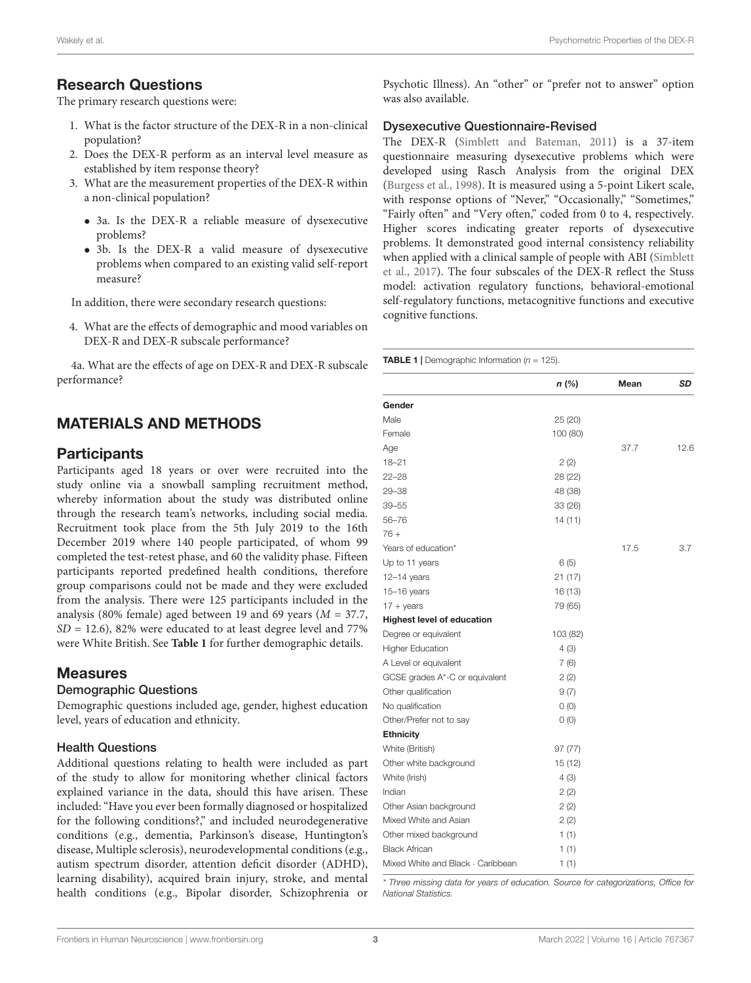### Research Questions

The primary research questions were:

- 1. What is the factor structure of the DEX-R in a non-clinical population?
- 2. Does the DEX-R perform as an interval level measure as established by item response theory?
- 3. What are the measurement properties of the DEX-R within a non-clinical population?
	- 3a. Is the DEX-R a reliable measure of dysexecutive problems?
	- 3b. Is the DEX-R a valid measure of dysexecutive problems when compared to an existing valid self-report measure?

In addition, there were secondary research questions:

4. What are the effects of demographic and mood variables on DEX-R and DEX-R subscale performance?

4a. What are the effects of age on DEX-R and DEX-R subscale performance?

# MATERIALS AND METHODS

#### **Participants**

Participants aged 18 years or over were recruited into the study online via a snowball sampling recruitment method, whereby information about the study was distributed online through the research team's networks, including social media. Recruitment took place from the 5th July 2019 to the 16th December 2019 where 140 people participated, of whom 99 completed the test-retest phase, and 60 the validity phase. Fifteen participants reported predefined health conditions, therefore group comparisons could not be made and they were excluded from the analysis. There were 125 participants included in the analysis (80% female) aged between 19 and 69 years ( $M = 37.7$ ,  $SD = 12.6$ , 82% were educated to at least degree level and 77% were White British. See **[Table 1](#page-2-0)** for further demographic details.

#### Measures

#### Demographic Questions

Demographic questions included age, gender, highest education level, years of education and ethnicity.

#### Health Questions

Additional questions relating to health were included as part of the study to allow for monitoring whether clinical factors explained variance in the data, should this have arisen. These included: "Have you ever been formally diagnosed or hospitalized for the following conditions?," and included neurodegenerative conditions (e.g., dementia, Parkinson's disease, Huntington's disease, Multiple sclerosis), neurodevelopmental conditions (e.g., autism spectrum disorder, attention deficit disorder (ADHD), learning disability), acquired brain injury, stroke, and mental health conditions (e.g., Bipolar disorder, Schizophrenia or Psychotic Illness). An "other" or "prefer not to answer" option was also available.

#### Dysexecutive Questionnaire-Revised

The DEX-R [\(Simblett and Bateman,](#page-10-9) [2011\)](#page-10-9) is a 37-item questionnaire measuring dysexecutive problems which were developed using Rasch Analysis from the original DEX [\(Burgess et al.,](#page-9-5) [1998\)](#page-9-5). It is measured using a 5-point Likert scale, with response options of "Never," "Occasionally," "Sometimes," "Fairly often" and "Very often," coded from 0 to 4, respectively. Higher scores indicating greater reports of dysexecutive problems. It demonstrated good internal consistency reliability when applied with a clinical sample of people with ABI [\(Simblett](#page-10-7) [et al.,](#page-10-7) [2017\)](#page-10-7). The four subscales of the DEX-R reflect the Stuss model: activation regulatory functions, behavioral-emotional self-regulatory functions, metacognitive functions and executive cognitive functions.

<span id="page-2-0"></span>**TABLE 1** | Demographic Information ( $n = 125$ ).

|                                   | n(%)     | Mean | SD   |
|-----------------------------------|----------|------|------|
| Gender                            |          |      |      |
| Male                              | 25 (20)  |      |      |
| Female                            | 100 (80) |      |      |
| Age                               |          | 37.7 | 12.6 |
| $18 - 21$                         | 2(2)     |      |      |
| $22 - 28$                         | 28 (22)  |      |      |
| $29 - 38$                         | 48 (38)  |      |      |
| 39–55                             | 33 (26)  |      |      |
| 56-76                             | 14 (11)  |      |      |
| $76+$                             |          |      |      |
| Years of education*               |          | 17.5 | 3.7  |
| Up to 11 years                    | 6(5)     |      |      |
| $12 - 14$ years                   | 21(17)   |      |      |
| $15-16$ years                     | 16 (13)  |      |      |
| $17 + \text{years}$               | 79 (65)  |      |      |
| <b>Highest level of education</b> |          |      |      |
| Degree or equivalent              | 103 (82) |      |      |
| <b>Higher Education</b>           | 4(3)     |      |      |
| A Level or equivalent             | 7(6)     |      |      |
| GCSE grades A*-C or equivalent    | 2(2)     |      |      |
| Other qualification               | 9(7)     |      |      |
| No qualification                  | 0(0)     |      |      |
| Other/Prefer not to say           | O(0)     |      |      |
| <b>Ethnicity</b>                  |          |      |      |
| White (British)                   | 97(77)   |      |      |
| Other white background            | 15 (12)  |      |      |
| White (Irish)                     | 4(3)     |      |      |
| Indian                            | 2(2)     |      |      |
| Other Asian background            | 2(2)     |      |      |
| Mixed White and Asian             | 2(2)     |      |      |
| Other mixed background            | 1(1)     |      |      |
| <b>Black African</b>              | 1(1)     |      |      |
| Mixed White and Black · Caribbean | 1(1)     |      |      |

\* Three missing data for years of education. Source for categorizations, Office for National Statistics.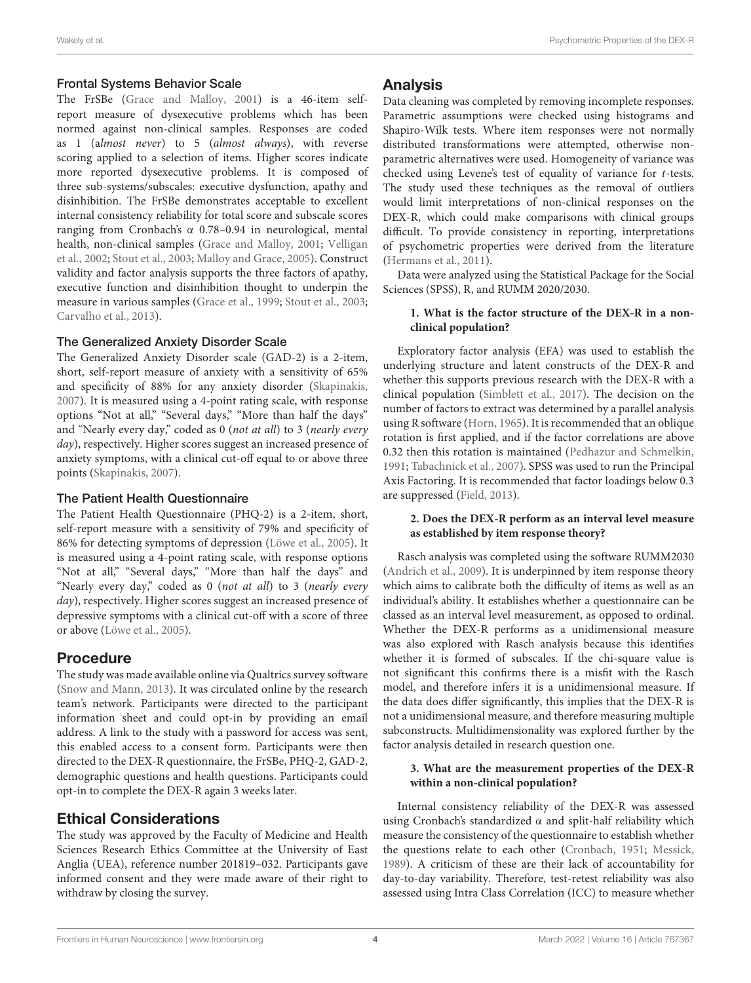#### Frontal Systems Behavior Scale

The FrSBe [\(Grace and Malloy,](#page-9-16) [2001\)](#page-9-16) is a 46-item selfreport measure of dysexecutive problems which has been normed against non-clinical samples. Responses are coded as 1 (almost never) to 5 (almost always), with reverse scoring applied to a selection of items. Higher scores indicate more reported dysexecutive problems. It is composed of three sub-systems/subscales: executive dysfunction, apathy and disinhibition. The FrSBe demonstrates acceptable to excellent internal consistency reliability for total score and subscale scores ranging from Cronbach's α 0.78–0.94 in neurological, mental health, non-clinical samples [\(Grace and Malloy,](#page-9-16) [2001;](#page-9-16) [Velligan](#page-10-18) [et al.,](#page-10-18) [2002;](#page-10-18) [Stout et al.,](#page-10-19) [2003;](#page-10-19) [Malloy and Grace,](#page-10-20) [2005\)](#page-10-20). Construct validity and factor analysis supports the three factors of apathy, executive function and disinhibition thought to underpin the measure in various samples [\(Grace et al.,](#page-9-17) [1999;](#page-9-17) [Stout et al.,](#page-10-19) [2003;](#page-10-19) [Carvalho et al.,](#page-9-18) [2013\)](#page-9-18).

#### The Generalized Anxiety Disorder Scale

The Generalized Anxiety Disorder scale (GAD-2) is a 2-item, short, self-report measure of anxiety with a sensitivity of 65% and specificity of 88% for any anxiety disorder [\(Skapinakis,](#page-10-21) [2007\)](#page-10-21). It is measured using a 4-point rating scale, with response options "Not at all," "Several days," "More than half the days" and "Nearly every day," coded as 0 (not at all) to 3 (nearly every day), respectively. Higher scores suggest an increased presence of anxiety symptoms, with a clinical cut-off equal to or above three points [\(Skapinakis,](#page-10-21) [2007\)](#page-10-21).

#### The Patient Health Questionnaire

The Patient Health Questionnaire (PHQ-2) is a 2-item, short, self-report measure with a sensitivity of 79% and specificity of 86% for detecting symptoms of depression [\(Löwe et al.,](#page-10-22) [2005\)](#page-10-22). It is measured using a 4-point rating scale, with response options "Not at all," "Several days," "More than half the days" and "Nearly every day," coded as 0 (not at all) to 3 (nearly every day), respectively. Higher scores suggest an increased presence of depressive symptoms with a clinical cut-off with a score of three or above [\(Löwe et al.,](#page-10-22) [2005\)](#page-10-22).

### Procedure

The study was made available online via Qualtrics survey software [\(Snow and Mann,](#page-10-23) [2013\)](#page-10-23). It was circulated online by the research team's network. Participants were directed to the participant information sheet and could opt-in by providing an email address. A link to the study with a password for access was sent, this enabled access to a consent form. Participants were then directed to the DEX-R questionnaire, the FrSBe, PHQ-2, GAD-2, demographic questions and health questions. Participants could opt-in to complete the DEX-R again 3 weeks later.

### Ethical Considerations

The study was approved by the Faculty of Medicine and Health Sciences Research Ethics Committee at the University of East Anglia (UEA), reference number 201819–032. Participants gave informed consent and they were made aware of their right to withdraw by closing the survey.

#### Analysis

Data cleaning was completed by removing incomplete responses. Parametric assumptions were checked using histograms and Shapiro-Wilk tests. Where item responses were not normally distributed transformations were attempted, otherwise nonparametric alternatives were used. Homogeneity of variance was checked using Levene's test of equality of variance for t-tests. The study used these techniques as the removal of outliers would limit interpretations of non-clinical responses on the DEX-R, which could make comparisons with clinical groups difficult. To provide consistency in reporting, interpretations of psychometric properties were derived from the literature [\(Hermans et al.,](#page-9-19) [2011\)](#page-9-19).

Data were analyzed using the Statistical Package for the Social Sciences (SPSS), R, and RUMM 2020/2030.

#### **1. What is the factor structure of the DEX-R in a nonclinical population?**

Exploratory factor analysis (EFA) was used to establish the underlying structure and latent constructs of the DEX-R and whether this supports previous research with the DEX-R with a clinical population [\(Simblett et al.,](#page-10-7) [2017\)](#page-10-7). The decision on the number of factors to extract was determined by a parallel analysis using R software [\(Horn,](#page-9-20) [1965\)](#page-9-20). It is recommended that an oblique rotation is first applied, and if the factor correlations are above 0.32 then this rotation is maintained [\(Pedhazur and Schmelkin,](#page-10-24) [1991;](#page-10-24) [Tabachnick et al.,](#page-10-25) [2007\)](#page-10-25). SPSS was used to run the Principal Axis Factoring. It is recommended that factor loadings below 0.3 are suppressed [\(Field,](#page-9-21) [2013\)](#page-9-21).

#### **2. Does the DEX-R perform as an interval level measure as established by item response theory?**

Rasch analysis was completed using the software RUMM2030 [\(Andrich et al.,](#page-9-22) [2009\)](#page-9-22). It is underpinned by item response theory which aims to calibrate both the difficulty of items as well as an individual's ability. It establishes whether a questionnaire can be classed as an interval level measurement, as opposed to ordinal. Whether the DEX-R performs as a unidimensional measure was also explored with Rasch analysis because this identifies whether it is formed of subscales. If the chi-square value is not significant this confirms there is a misfit with the Rasch model, and therefore infers it is a unidimensional measure. If the data does differ significantly, this implies that the DEX-R is not a unidimensional measure, and therefore measuring multiple subconstructs. Multidimensionality was explored further by the factor analysis detailed in research question one.

#### **3. What are the measurement properties of the DEX-R within a non-clinical population?**

Internal consistency reliability of the DEX-R was assessed using Cronbach's standardized α and split-half reliability which measure the consistency of the questionnaire to establish whether the questions relate to each other [\(Cronbach,](#page-9-23) [1951;](#page-9-23) [Messick,](#page-10-26) [1989\)](#page-10-26). A criticism of these are their lack of accountability for day-to-day variability. Therefore, test-retest reliability was also assessed using Intra Class Correlation (ICC) to measure whether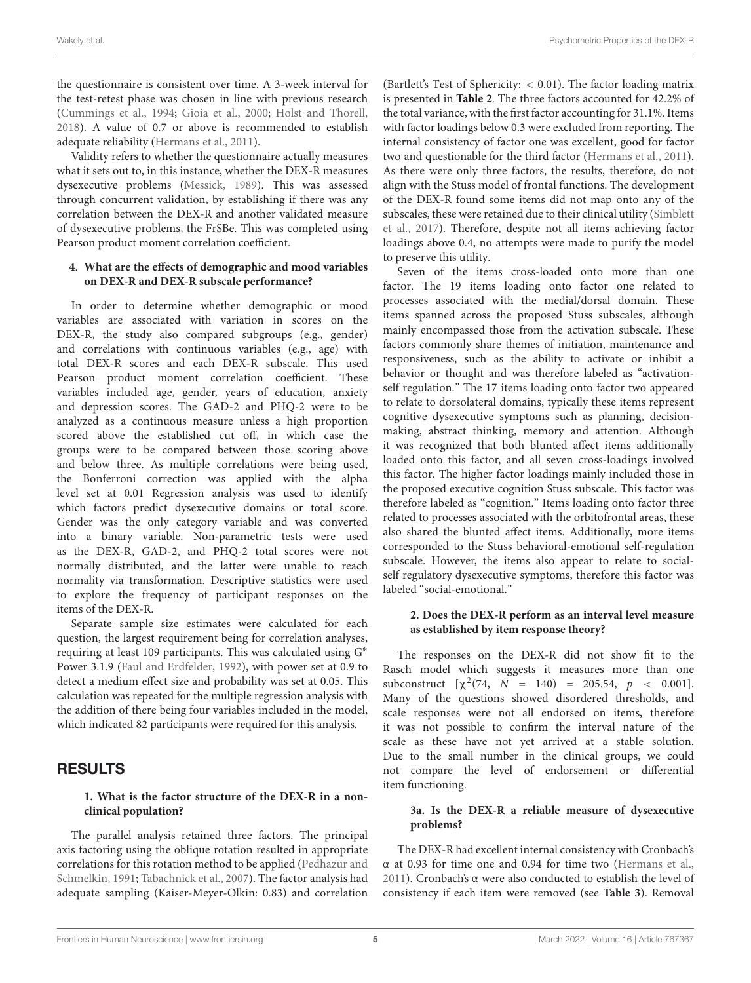the questionnaire is consistent over time. A 3-week interval for the test-retest phase was chosen in line with previous research [\(Cummings et al.,](#page-9-24) [1994;](#page-9-24) [Gioia et al.,](#page-9-25) [2000;](#page-9-25) [Holst and Thorell,](#page-9-26) [2018\)](#page-9-26). A value of 0.7 or above is recommended to establish adequate reliability [\(Hermans et al.,](#page-9-19) [2011\)](#page-9-19).

Validity refers to whether the questionnaire actually measures what it sets out to, in this instance, whether the DEX-R measures dysexecutive problems [\(Messick,](#page-10-26) [1989\)](#page-10-26). This was assessed through concurrent validation, by establishing if there was any correlation between the DEX-R and another validated measure of dysexecutive problems, the FrSBe. This was completed using Pearson product moment correlation coefficient.

#### **4**. **What are the effects of demographic and mood variables on DEX-R and DEX-R subscale performance?**

In order to determine whether demographic or mood variables are associated with variation in scores on the DEX-R, the study also compared subgroups (e.g., gender) and correlations with continuous variables (e.g., age) with total DEX-R scores and each DEX-R subscale. This used Pearson product moment correlation coefficient. These variables included age, gender, years of education, anxiety and depression scores. The GAD-2 and PHQ-2 were to be analyzed as a continuous measure unless a high proportion scored above the established cut off, in which case the groups were to be compared between those scoring above and below three. As multiple correlations were being used, the Bonferroni correction was applied with the alpha level set at 0.01 Regression analysis was used to identify which factors predict dysexecutive domains or total score. Gender was the only category variable and was converted into a binary variable. Non-parametric tests were used as the DEX-R, GAD-2, and PHQ-2 total scores were not normally distributed, and the latter were unable to reach normality via transformation. Descriptive statistics were used to explore the frequency of participant responses on the items of the DEX-R.

Separate sample size estimates were calculated for each question, the largest requirement being for correlation analyses, requiring at least 109 participants. This was calculated using G<sup>∗</sup> Power 3.1.9 [\(Faul and Erdfelder,](#page-9-27) [1992\)](#page-9-27), with power set at 0.9 to detect a medium effect size and probability was set at 0.05. This calculation was repeated for the multiple regression analysis with the addition of there being four variables included in the model, which indicated 82 participants were required for this analysis.

# **RESULTS**

#### **1. What is the factor structure of the DEX-R in a nonclinical population?**

The parallel analysis retained three factors. The principal axis factoring using the oblique rotation resulted in appropriate correlations for this rotation method to be applied [\(Pedhazur and](#page-10-24) [Schmelkin,](#page-10-24) [1991;](#page-10-24) [Tabachnick et al.,](#page-10-25) [2007\)](#page-10-25). The factor analysis had adequate sampling (Kaiser-Meyer-Olkin: 0.83) and correlation

(Bartlett's Test of Sphericity:  $< 0.01$ ). The factor loading matrix is presented in **[Table 2](#page-6-0)**. The three factors accounted for 42.2% of the total variance, with the first factor accounting for 31.1%. Items with factor loadings below 0.3 were excluded from reporting. The internal consistency of factor one was excellent, good for factor two and questionable for the third factor [\(Hermans et al.,](#page-9-19) [2011\)](#page-9-19). As there were only three factors, the results, therefore, do not align with the Stuss model of frontal functions. The development of the DEX-R found some items did not map onto any of the subscales, these were retained due to their clinical utility [\(Simblett](#page-10-7) [et al.,](#page-10-7) [2017\)](#page-10-7). Therefore, despite not all items achieving factor loadings above 0.4, no attempts were made to purify the model to preserve this utility.

Seven of the items cross-loaded onto more than one factor. The 19 items loading onto factor one related to processes associated with the medial/dorsal domain. These items spanned across the proposed Stuss subscales, although mainly encompassed those from the activation subscale. These factors commonly share themes of initiation, maintenance and responsiveness, such as the ability to activate or inhibit a behavior or thought and was therefore labeled as "activationself regulation." The 17 items loading onto factor two appeared to relate to dorsolateral domains, typically these items represent cognitive dysexecutive symptoms such as planning, decisionmaking, abstract thinking, memory and attention. Although it was recognized that both blunted affect items additionally loaded onto this factor, and all seven cross-loadings involved this factor. The higher factor loadings mainly included those in the proposed executive cognition Stuss subscale. This factor was therefore labeled as "cognition." Items loading onto factor three related to processes associated with the orbitofrontal areas, these also shared the blunted affect items. Additionally, more items corresponded to the Stuss behavioral-emotional self-regulation subscale. However, the items also appear to relate to socialself regulatory dysexecutive symptoms, therefore this factor was labeled "social-emotional."

#### **2. Does the DEX-R perform as an interval level measure as established by item response theory?**

The responses on the DEX-R did not show fit to the Rasch model which suggests it measures more than one subconstruct  $[\chi^2(74, N = 140) = 205.54, p < 0.001]$ . Many of the questions showed disordered thresholds, and scale responses were not all endorsed on items, therefore it was not possible to confirm the interval nature of the scale as these have not yet arrived at a stable solution. Due to the small number in the clinical groups, we could not compare the level of endorsement or differential item functioning.

#### **3a. Is the DEX-R a reliable measure of dysexecutive problems?**

The DEX-R had excellent internal consistency with Cronbach's α at 0.93 for time one and 0.94 for time two [\(Hermans et al.,](#page-9-19) [2011\)](#page-9-19). Cronbach's α were also conducted to establish the level of consistency if each item were removed (see **[Table 3](#page-7-0)**). Removal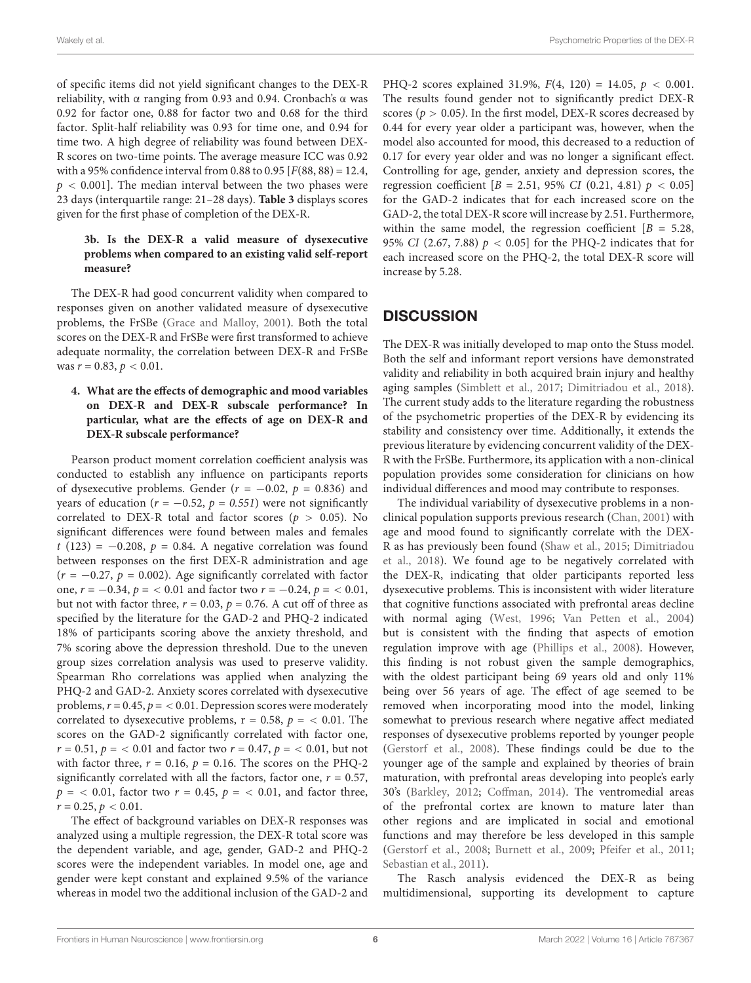of specific items did not yield significant changes to the DEX-R reliability, with α ranging from 0.93 and 0.94. Cronbach's α was 0.92 for factor one, 0.88 for factor two and 0.68 for the third factor. Split-half reliability was 0.93 for time one, and 0.94 for time two. A high degree of reliability was found between DEX-R scores on two-time points. The average measure ICC was 0.92 with a 95% confidence interval from 0.88 to 0.95  $[F(88, 88) = 12.4,$  $p < 0.001$ ]. The median interval between the two phases were 23 days (interquartile range: 21–28 days). **[Table 3](#page-7-0)** displays scores given for the first phase of completion of the DEX-R.

#### **3b. Is the DEX-R a valid measure of dysexecutive problems when compared to an existing valid self-report measure?**

The DEX-R had good concurrent validity when compared to responses given on another validated measure of dysexecutive problems, the FrSBe [\(Grace and Malloy,](#page-9-16) [2001\)](#page-9-16). Both the total scores on the DEX-R and FrSBe were first transformed to achieve adequate normality, the correlation between DEX-R and FrSBe was  $r = 0.83$ ,  $p < 0.01$ .

#### **4. What are the effects of demographic and mood variables on DEX-R and DEX-R subscale performance? In particular, what are the effects of age on DEX-R and DEX-R subscale performance?**

Pearson product moment correlation coefficient analysis was conducted to establish any influence on participants reports of dysexecutive problems. Gender ( $r = -0.02$ ,  $p = 0.836$ ) and years of education ( $r = -0.52$ ,  $p = 0.551$ ) were not significantly correlated to DEX-R total and factor scores ( $p > 0.05$ ). No significant differences were found between males and females t (123) =  $-0.208$ ,  $p = 0.84$ . A negative correlation was found between responses on the first DEX-R administration and age  $(r = -0.27, p = 0.002)$ . Age significantly correlated with factor one,  $r = -0.34$ ,  $p = < 0.01$  and factor two  $r = -0.24$ ,  $p = < 0.01$ , but not with factor three,  $r = 0.03$ ,  $p = 0.76$ . A cut off of three as specified by the literature for the GAD-2 and PHQ-2 indicated 18% of participants scoring above the anxiety threshold, and 7% scoring above the depression threshold. Due to the uneven group sizes correlation analysis was used to preserve validity. Spearman Rho correlations was applied when analyzing the PHQ-2 and GAD-2. Anxiety scores correlated with dysexecutive problems,  $r = 0.45$ ,  $p = < 0.01$ . Depression scores were moderately correlated to dysexecutive problems,  $r = 0.58$ ,  $p = \langle 0.01 \rangle$ . The scores on the GAD-2 significantly correlated with factor one,  $r = 0.51$ ,  $p = < 0.01$  and factor two  $r = 0.47$ ,  $p = < 0.01$ , but not with factor three,  $r = 0.16$ ,  $p = 0.16$ . The scores on the PHQ-2 significantly correlated with all the factors, factor one,  $r = 0.57$ ,  $p =$  < 0.01, factor two  $r = 0.45$ ,  $p =$  < 0.01, and factor three,  $r = 0.25, p < 0.01$ .

The effect of background variables on DEX-R responses was analyzed using a multiple regression, the DEX-R total score was the dependent variable, and age, gender, GAD-2 and PHQ-2 scores were the independent variables. In model one, age and gender were kept constant and explained 9.5% of the variance whereas in model two the additional inclusion of the GAD-2 and

PHQ-2 scores explained 31.9%,  $F(4, 120) = 14.05$ ,  $p < 0.001$ . The results found gender not to significantly predict DEX-R scores ( $p > 0.05$ ). In the first model, DEX-R scores decreased by 0.44 for every year older a participant was, however, when the model also accounted for mood, this decreased to a reduction of 0.17 for every year older and was no longer a significant effect. Controlling for age, gender, anxiety and depression scores, the regression coefficient [B = 2.51, 95% CI (0.21, 4.81)  $p < 0.05$ ] for the GAD-2 indicates that for each increased score on the GAD-2, the total DEX-R score will increase by 2.51. Furthermore, within the same model, the regression coefficient  $[B = 5.28,$ 95% CI (2.67, 7.88)  $p < 0.05$  for the PHQ-2 indicates that for each increased score on the PHQ-2, the total DEX-R score will increase by 5.28.

# **DISCUSSION**

The DEX-R was initially developed to map onto the Stuss model. Both the self and informant report versions have demonstrated validity and reliability in both acquired brain injury and healthy aging samples [\(Simblett et al.,](#page-10-7) [2017;](#page-10-7) [Dimitriadou et al.,](#page-9-7) [2018\)](#page-9-7). The current study adds to the literature regarding the robustness of the psychometric properties of the DEX-R by evidencing its stability and consistency over time. Additionally, it extends the previous literature by evidencing concurrent validity of the DEX-R with the FrSBe. Furthermore, its application with a non-clinical population provides some consideration for clinicians on how individual differences and mood may contribute to responses.

The individual variability of dysexecutive problems in a nonclinical population supports previous research [\(Chan,](#page-9-9) [2001\)](#page-9-9) with age and mood found to significantly correlate with the DEX-R as has previously been found [\(Shaw et al.,](#page-10-17) [2015;](#page-10-17) [Dimitriadou](#page-9-7) [et al.,](#page-9-7) [2018\)](#page-9-7). We found age to be negatively correlated with the DEX-R, indicating that older participants reported less dysexecutive problems. This is inconsistent with wider literature that cognitive functions associated with prefrontal areas decline with normal aging [\(West,](#page-10-12) [1996;](#page-10-12) [Van Petten et al.,](#page-10-13) [2004\)](#page-10-13) but is consistent with the finding that aspects of emotion regulation improve with age [\(Phillips et al.,](#page-10-27) [2008\)](#page-10-27). However, this finding is not robust given the sample demographics, with the oldest participant being 69 years old and only 11% being over 56 years of age. The effect of age seemed to be removed when incorporating mood into the model, linking somewhat to previous research where negative affect mediated responses of dysexecutive problems reported by younger people [\(Gerstorf et al.,](#page-9-13) [2008\)](#page-9-13). These findings could be due to the younger age of the sample and explained by theories of brain maturation, with prefrontal areas developing into people's early 30's [\(Barkley,](#page-9-11) [2012;](#page-9-11) [Coffman,](#page-9-12) [2014\)](#page-9-12). The ventromedial areas of the prefrontal cortex are known to mature later than other regions and are implicated in social and emotional functions and may therefore be less developed in this sample [\(Gerstorf et al.,](#page-9-13) [2008;](#page-9-13) [Burnett et al.,](#page-9-10) [2009;](#page-9-10) [Pfeifer et al.,](#page-10-15) [2011;](#page-10-15) [Sebastian et al.,](#page-10-16) [2011\)](#page-10-16).

The Rasch analysis evidenced the DEX-R as being multidimensional, supporting its development to capture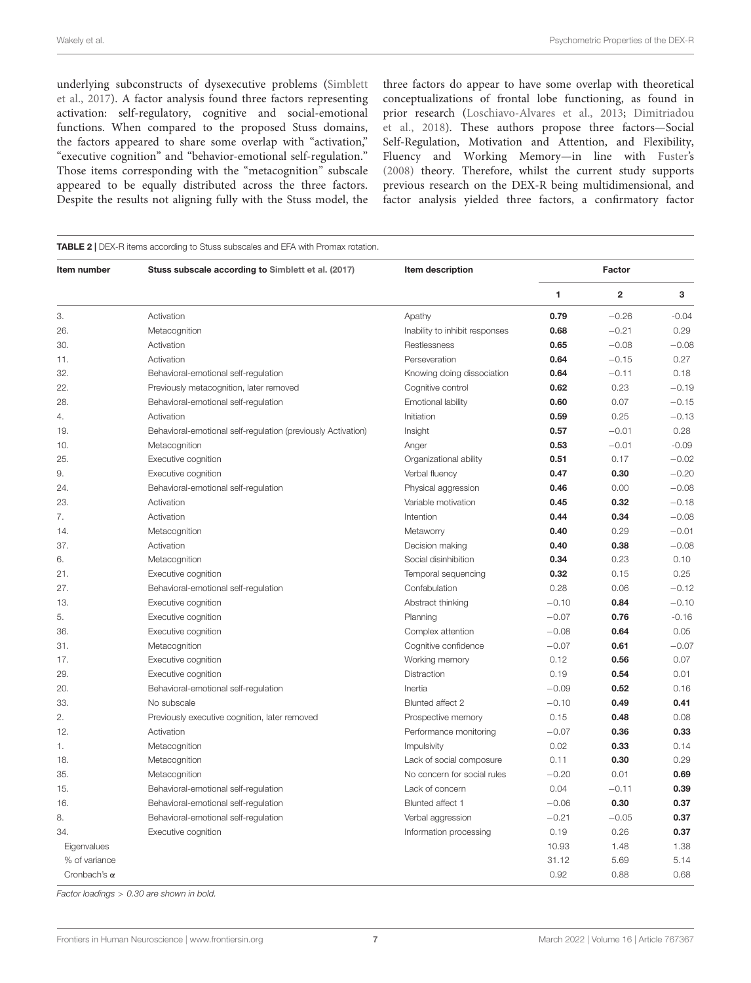underlying subconstructs of dysexecutive problems [\(Simblett](#page-10-7) [et al.,](#page-10-7) [2017\)](#page-10-7). A factor analysis found three factors representing activation: self-regulatory, cognitive and social-emotional functions. When compared to the proposed Stuss domains, the factors appeared to share some overlap with "activation," "executive cognition" and "behavior-emotional self-regulation." Those items corresponding with the "metacognition" subscale appeared to be equally distributed across the three factors. Despite the results not aligning fully with the Stuss model, the

three factors do appear to have some overlap with theoretical conceptualizations of frontal lobe functioning, as found in prior research [\(Loschiavo-Alvares et al.,](#page-10-11) [2013;](#page-10-11) [Dimitriadou](#page-9-7) [et al.,](#page-9-7) [2018\)](#page-9-7). These authors propose three factors—Social Self-Regulation, Motivation and Attention, and Flexibility, Fluency and Working Memory—in line with [Fuster's](#page-9-8) [\(2008\)](#page-9-8) theory. Therefore, whilst the current study supports previous research on the DEX-R being multidimensional, and factor analysis yielded three factors, a confirmatory factor

<span id="page-6-0"></span>

| Item number         | Stuss subscale according to Simblett et al. (2017)           | Item description               | Factor  |                |         |
|---------------------|--------------------------------------------------------------|--------------------------------|---------|----------------|---------|
|                     |                                                              |                                | 1       | $\overline{2}$ | 3       |
| 3.                  | Activation                                                   | Apathy                         | 0.79    | $-0.26$        | $-0.04$ |
| 26.                 | Metacognition                                                | Inability to inhibit responses | 0.68    | $-0.21$        | 0.29    |
| 30.                 | Activation                                                   | Restlessness                   | 0.65    | $-0.08$        | $-0.08$ |
| 11.                 | Activation                                                   | Perseveration                  | 0.64    | $-0.15$        | 0.27    |
| 32.                 | Behavioral-emotional self-regulation                         | Knowing doing dissociation     | 0.64    | $-0.11$        | 0.18    |
| 22.                 | Previously metacognition, later removed                      | Cognitive control              | 0.62    | 0.23           | $-0.19$ |
| 28.                 | Behavioral-emotional self-regulation                         | Emotional lability             | 0.60    | 0.07           | $-0.15$ |
| 4.                  | Activation                                                   | Initiation                     | 0.59    | 0.25           | $-0.13$ |
| 19.                 | Behavioral-emotional self-regulation (previously Activation) | Insight                        | 0.57    | $-0.01$        | 0.28    |
| 10.                 | Metacognition                                                | Anger                          | 0.53    | $-0.01$        | $-0.09$ |
| 25.                 | Executive cognition                                          | Organizational ability         | 0.51    | 0.17           | $-0.02$ |
| 9.                  | Executive cognition                                          | Verbal fluency                 | 0.47    | 0.30           | $-0.20$ |
| 24.                 | Behavioral-emotional self-regulation                         | Physical aggression            | 0.46    | 0.00           | $-0.08$ |
| 23.                 | Activation                                                   | Variable motivation            | 0.45    | 0.32           | $-0.18$ |
| 7.                  | Activation                                                   | Intention                      | 0.44    | 0.34           | $-0.08$ |
| 14.                 | Metacognition                                                | Metaworry                      | 0.40    | 0.29           | $-0.01$ |
| 37.                 | Activation                                                   | Decision making                | 0.40    | 0.38           | $-0.08$ |
| 6.                  | Metacognition                                                | Social disinhibition           | 0.34    | 0.23           | 0.10    |
| 21.                 | Executive cognition                                          | Temporal sequencing            | 0.32    | 0.15           | 0.25    |
| 27.                 | Behavioral-emotional self-regulation                         | Confabulation                  | 0.28    | 0.06           | $-0.12$ |
| 13.                 | Executive cognition                                          | Abstract thinking              | $-0.10$ | 0.84           | $-0.10$ |
| 5.                  | Executive cognition                                          | Planning                       | $-0.07$ | 0.76           | $-0.16$ |
| 36.                 | Executive cognition                                          | Complex attention              | $-0.08$ | 0.64           | 0.05    |
| 31.                 | Metacognition                                                | Cognitive confidence           | $-0.07$ | 0.61           | $-0.07$ |
| 17.                 | Executive cognition                                          | Working memory                 | 0.12    | 0.56           | 0.07    |
| 29.                 | Executive cognition                                          | Distraction                    | 0.19    | 0.54           | 0.01    |
| 20.                 | Behavioral-emotional self-regulation                         | Inertia                        | $-0.09$ | 0.52           | 0.16    |
| 33.                 | No subscale                                                  | Blunted affect 2               | $-0.10$ | 0.49           | 0.41    |
| 2.                  | Previously executive cognition, later removed                | Prospective memory             | 0.15    | 0.48           | 0.08    |
| 12.                 | Activation                                                   | Performance monitoring         | $-0.07$ | 0.36           | 0.33    |
| 1.                  | Metacognition                                                | Impulsivity                    | 0.02    | 0.33           | 0.14    |
| 18.                 | Metacognition                                                | Lack of social composure       | 0.11    | 0.30           | 0.29    |
| 35.                 | Metacognition                                                | No concern for social rules    | $-0.20$ | 0.01           | 0.69    |
| 15.                 | Behavioral-emotional self-regulation                         | Lack of concern                | 0.04    | $-0.11$        | 0.39    |
| 16.                 | Behavioral-emotional self-regulation                         | Blunted affect 1               | $-0.06$ | 0.30           | 0.37    |
| 8.                  | Behavioral-emotional self-regulation                         | Verbal aggression              | $-0.21$ | $-0.05$        | 0.37    |
| 34.                 | Executive cognition                                          | Information processing         | 0.19    | 0.26           | 0.37    |
| Eigenvalues         |                                                              |                                | 10.93   | 1.48           | 1.38    |
| % of variance       |                                                              |                                | 31.12   | 5.69           | 5.14    |
| Cronbach's $\alpha$ |                                                              |                                | 0.92    | 0.88           | 0.68    |

Factor loadings > 0.30 are shown in bold.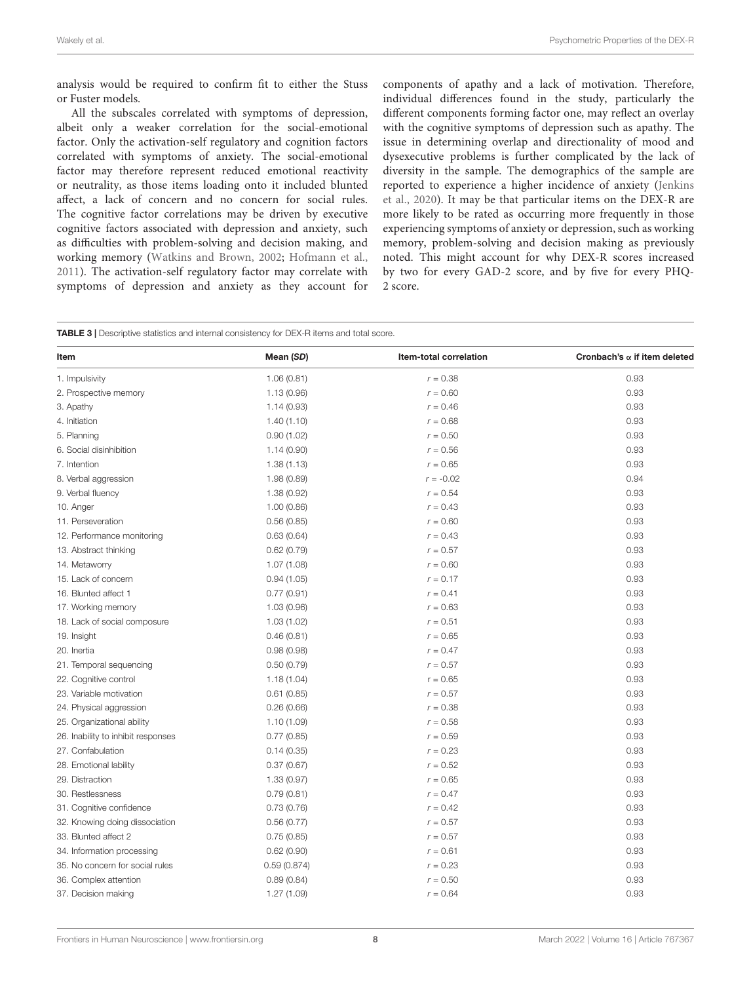analysis would be required to confirm fit to either the Stuss or Fuster models.

All the subscales correlated with symptoms of depression, albeit only a weaker correlation for the social-emotional factor. Only the activation-self regulatory and cognition factors correlated with symptoms of anxiety. The social-emotional factor may therefore represent reduced emotional reactivity or neutrality, as those items loading onto it included blunted affect, a lack of concern and no concern for social rules. The cognitive factor correlations may be driven by executive cognitive factors associated with depression and anxiety, such as difficulties with problem-solving and decision making, and working memory [\(Watkins and Brown,](#page-10-28) [2002;](#page-10-28) [Hofmann et al.,](#page-9-28) [2011\)](#page-9-28). The activation-self regulatory factor may correlate with symptoms of depression and anxiety as they account for components of apathy and a lack of motivation. Therefore, individual differences found in the study, particularly the different components forming factor one, may reflect an overlay with the cognitive symptoms of depression such as apathy. The issue in determining overlap and directionality of mood and dysexecutive problems is further complicated by the lack of diversity in the sample. The demographics of the sample are reported to experience a higher incidence of anxiety [\(Jenkins](#page-10-29) [et al.,](#page-10-29) [2020\)](#page-10-29). It may be that particular items on the DEX-R are more likely to be rated as occurring more frequently in those experiencing symptoms of anxiety or depression, such as working memory, problem-solving and decision making as previously noted. This might account for why DEX-R scores increased by two for every GAD-2 score, and by five for every PHQ-2 score.

<span id="page-7-0"></span>

| Item                               | Mean (SD)   | Item-total correlation | Cronbach's $\alpha$ if item deleted |
|------------------------------------|-------------|------------------------|-------------------------------------|
| 1. Impulsivity                     | 1.06(0.81)  | $r = 0.38$             | 0.93                                |
| 2. Prospective memory              | 1.13(0.96)  | $r = 0.60$             | 0.93                                |
| 3. Apathy                          | 1.14(0.93)  | $r = 0.46$             | 0.93                                |
| 4. Initiation                      | 1.40(1.10)  | $r = 0.68$             | 0.93                                |
| 5. Planning                        | 0.90(1.02)  | $r = 0.50$             | 0.93                                |
| 6. Social disinhibition            | 1.14(0.90)  | $r = 0.56$             | 0.93                                |
| 7. Intention                       | 1.38(1.13)  | $r = 0.65$             | 0.93                                |
| 8. Verbal aggression               | 1.98(0.89)  | $r = -0.02$            | 0.94                                |
| 9. Verbal fluency                  | 1.38(0.92)  | $r = 0.54$             | 0.93                                |
| 10. Anger                          | 1.00(0.86)  | $r = 0.43$             | 0.93                                |
| 11. Perseveration                  | 0.56(0.85)  | $r = 0.60$             | 0.93                                |
| 12. Performance monitoring         | 0.63(0.64)  | $r = 0.43$             | 0.93                                |
| 13. Abstract thinking              | 0.62(0.79)  | $r = 0.57$             | 0.93                                |
| 14. Metaworry                      | 1.07(1.08)  | $r = 0.60$             | 0.93                                |
| 15. Lack of concern                | 0.94(1.05)  | $r = 0.17$             | 0.93                                |
| 16. Blunted affect 1               | 0.77(0.91)  | $r = 0.41$             | 0.93                                |
| 17. Working memory                 | 1.03(0.96)  | $r = 0.63$             | 0.93                                |
| 18. Lack of social composure       | 1.03(1.02)  | $r = 0.51$             | 0.93                                |
| 19. Insight                        | 0.46(0.81)  | $r = 0.65$             | 0.93                                |
| 20. Inertia                        | 0.98(0.98)  | $r = 0.47$             | 0.93                                |
| 21. Temporal sequencing            | 0.50(0.79)  | $r = 0.57$             | 0.93                                |
| 22. Cognitive control              | 1.18(1.04)  | $r = 0.65$             | 0.93                                |
| 23. Variable motivation            | 0.61(0.85)  | $r = 0.57$             | 0.93                                |
| 24. Physical aggression            | 0.26(0.66)  | $r = 0.38$             | 0.93                                |
| 25. Organizational ability         | 1.10(1.09)  | $r = 0.58$             | 0.93                                |
| 26. Inability to inhibit responses | 0.77(0.85)  | $r = 0.59$             | 0.93                                |
| 27. Confabulation                  | 0.14(0.35)  | $r = 0.23$             | 0.93                                |
| 28. Emotional lability             | 0.37(0.67)  | $r = 0.52$             | 0.93                                |
| 29. Distraction                    | 1.33(0.97)  | $r = 0.65$             | 0.93                                |
| 30. Restlessness                   | 0.79(0.81)  | $r = 0.47$             | 0.93                                |
| 31. Cognitive confidence           | 0.73(0.76)  | $r = 0.42$             | 0.93                                |
| 32. Knowing doing dissociation     | 0.56(0.77)  | $r = 0.57$             | 0.93                                |
| 33. Blunted affect 2               | 0.75(0.85)  | $r = 0.57$             | 0.93                                |
| 34. Information processing         | 0.62(0.90)  | $r = 0.61$             | 0.93                                |
| 35. No concern for social rules    | 0.59(0.874) | $r = 0.23$             | 0.93                                |
| 36. Complex attention              | 0.89(0.84)  | $r = 0.50$             | 0.93                                |
| 37. Decision making                | 1.27(1.09)  | $r = 0.64$             | 0.93                                |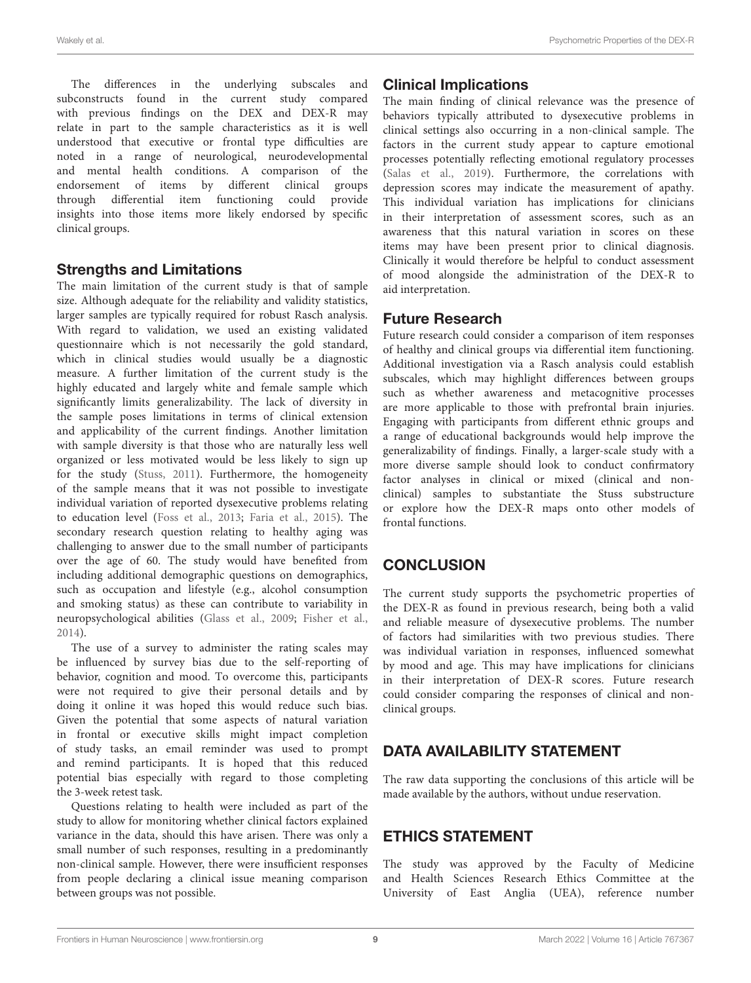The differences in the underlying subscales and subconstructs found in the current study compared with previous findings on the DEX and DEX-R may relate in part to the sample characteristics as it is well understood that executive or frontal type difficulties are noted in a range of neurological, neurodevelopmental and mental health conditions. A comparison of the endorsement of items by different clinical groups through differential item functioning could provide insights into those items more likely endorsed by specific clinical groups.

# Strengths and Limitations

The main limitation of the current study is that of sample size. Although adequate for the reliability and validity statistics, larger samples are typically required for robust Rasch analysis. With regard to validation, we used an existing validated questionnaire which is not necessarily the gold standard, which in clinical studies would usually be a diagnostic measure. A further limitation of the current study is the highly educated and largely white and female sample which significantly limits generalizability. The lack of diversity in the sample poses limitations in terms of clinical extension and applicability of the current findings. Another limitation with sample diversity is that those who are naturally less well organized or less motivated would be less likely to sign up for the study [\(Stuss,](#page-10-10) [2011\)](#page-10-10). Furthermore, the homogeneity of the sample means that it was not possible to investigate individual variation of reported dysexecutive problems relating to education level [\(Foss et al.,](#page-9-14) [2013;](#page-9-14) [Faria et al.,](#page-9-15) [2015\)](#page-9-15). The secondary research question relating to healthy aging was challenging to answer due to the small number of participants over the age of 60. The study would have benefited from including additional demographic questions on demographics, such as occupation and lifestyle (e.g., alcohol consumption and smoking status) as these can contribute to variability in neuropsychological abilities [\(Glass et al.,](#page-9-29) [2009;](#page-9-29) [Fisher et al.,](#page-9-30) [2014\)](#page-9-30).

The use of a survey to administer the rating scales may be influenced by survey bias due to the self-reporting of behavior, cognition and mood. To overcome this, participants were not required to give their personal details and by doing it online it was hoped this would reduce such bias. Given the potential that some aspects of natural variation in frontal or executive skills might impact completion of study tasks, an email reminder was used to prompt and remind participants. It is hoped that this reduced potential bias especially with regard to those completing the 3-week retest task.

Questions relating to health were included as part of the study to allow for monitoring whether clinical factors explained variance in the data, should this have arisen. There was only a small number of such responses, resulting in a predominantly non-clinical sample. However, there were insufficient responses from people declaring a clinical issue meaning comparison between groups was not possible.

# Clinical Implications

The main finding of clinical relevance was the presence of behaviors typically attributed to dysexecutive problems in clinical settings also occurring in a non-clinical sample. The factors in the current study appear to capture emotional processes potentially reflecting emotional regulatory processes [\(Salas et al.,](#page-10-30) [2019\)](#page-10-30). Furthermore, the correlations with depression scores may indicate the measurement of apathy. This individual variation has implications for clinicians in their interpretation of assessment scores, such as an awareness that this natural variation in scores on these items may have been present prior to clinical diagnosis. Clinically it would therefore be helpful to conduct assessment of mood alongside the administration of the DEX-R to aid interpretation.

# Future Research

Future research could consider a comparison of item responses of healthy and clinical groups via differential item functioning. Additional investigation via a Rasch analysis could establish subscales, which may highlight differences between groups such as whether awareness and metacognitive processes are more applicable to those with prefrontal brain injuries. Engaging with participants from different ethnic groups and a range of educational backgrounds would help improve the generalizability of findings. Finally, a larger-scale study with a more diverse sample should look to conduct confirmatory factor analyses in clinical or mixed (clinical and nonclinical) samples to substantiate the Stuss substructure or explore how the DEX-R maps onto other models of frontal functions.

# **CONCLUSION**

The current study supports the psychometric properties of the DEX-R as found in previous research, being both a valid and reliable measure of dysexecutive problems. The number of factors had similarities with two previous studies. There was individual variation in responses, influenced somewhat by mood and age. This may have implications for clinicians in their interpretation of DEX-R scores. Future research could consider comparing the responses of clinical and nonclinical groups.

# DATA AVAILABILITY STATEMENT

The raw data supporting the conclusions of this article will be made available by the authors, without undue reservation.

# ETHICS STATEMENT

The study was approved by the Faculty of Medicine and Health Sciences Research Ethics Committee at the University of East Anglia (UEA), reference number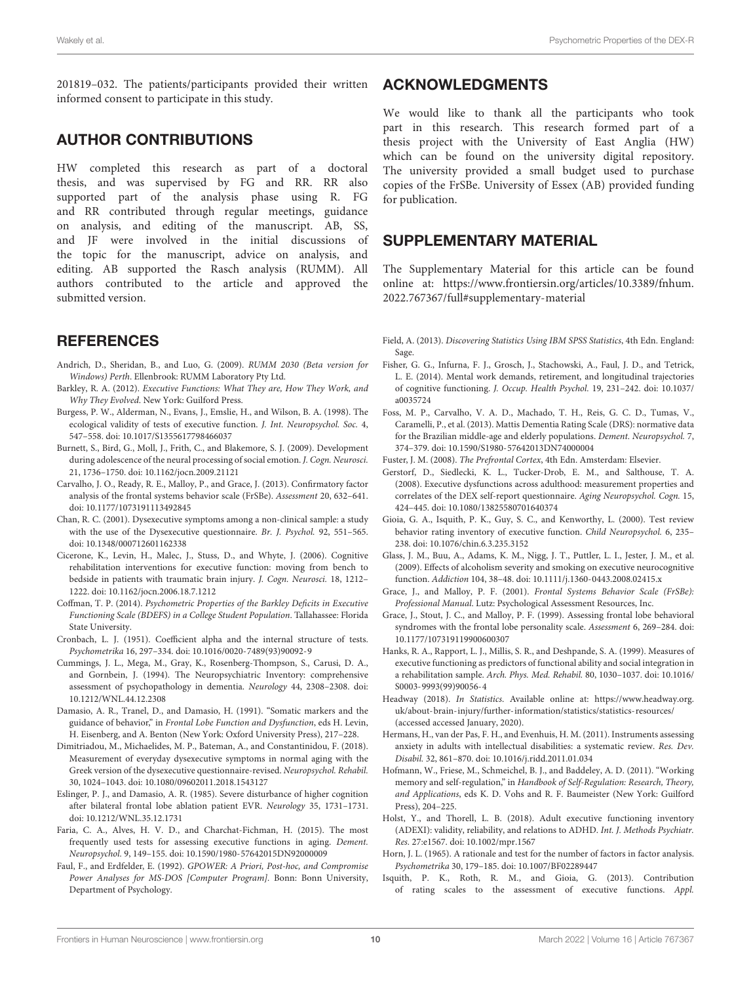201819–032. The patients/participants provided their written informed consent to participate in this study.

# AUTHOR CONTRIBUTIONS

HW completed this research as part of a doctoral thesis, and was supervised by FG and RR. RR also supported part of the analysis phase using R. FG and RR contributed through regular meetings, guidance on analysis, and editing of the manuscript. AB, SS, and JF were involved in the initial discussions of the topic for the manuscript, advice on analysis, and editing. AB supported the Rasch analysis (RUMM). All authors contributed to the article and approved the submitted version.

# **REFERENCES**

- <span id="page-9-22"></span>Andrich, D., Sheridan, B., and Luo, G. (2009). RUMM 2030 (Beta version for Windows) Perth. Ellenbrook: RUMM Laboratory Pty Ltd.
- <span id="page-9-11"></span>Barkley, R. A. (2012). Executive Functions: What They are, How They Work, and Why They Evolved. New York: Guilford Press.
- <span id="page-9-5"></span>Burgess, P. W., Alderman, N., Evans, J., Emslie, H., and Wilson, B. A. (1998). The ecological validity of tests of executive function. J. Int. Neuropsychol. Soc. 4, 547–558. [doi: 10.1017/S1355617798466037](https://doi.org/10.1017/S1355617798466037)
- <span id="page-9-10"></span>Burnett, S., Bird, G., Moll, J., Frith, C., and Blakemore, S. J. (2009). Development during adolescence of the neural processing of social emotion. J. Cogn. Neurosci. 21, 1736–1750. [doi: 10.1162/jocn.2009.21121](https://doi.org/10.1162/jocn.2009.21121)
- <span id="page-9-18"></span>Carvalho, J. O., Ready, R. E., Malloy, P., and Grace, J. (2013). Confirmatory factor analysis of the frontal systems behavior scale (FrSBe). Assessment 20, 632–641. [doi: 10.1177/1073191113492845](https://doi.org/10.1177/1073191113492845)
- <span id="page-9-9"></span>Chan, R. C. (2001). Dysexecutive symptoms among a non-clinical sample: a study with the use of the Dysexecutive questionnaire. Br. J. Psychol. 92, 551–565. [doi: 10.1348/000712601162338](https://doi.org/10.1348/000712601162338)
- <span id="page-9-1"></span>Cicerone, K., Levin, H., Malec, J., Stuss, D., and Whyte, J. (2006). Cognitive rehabilitation interventions for executive function: moving from bench to bedside in patients with traumatic brain injury. J. Cogn. Neurosci. 18, 1212– 1222. [doi: 10.1162/jocn.2006.18.7.1212](https://doi.org/10.1162/jocn.2006.18.7.1212)
- <span id="page-9-12"></span>Coffman, T. P. (2014). Psychometric Properties of the Barkley Deficits in Executive Functioning Scale (BDEFS) in a College Student Population. Tallahassee: Florida State University.
- <span id="page-9-23"></span>Cronbach, L. J. (1951). Coefficient alpha and the internal structure of tests. Psychometrika 16, 297–334. [doi: 10.1016/0020-7489\(93\)90092-9](https://doi.org/10.1016/0020-7489(93)90092-9)
- <span id="page-9-24"></span>Cummings, J. L., Mega, M., Gray, K., Rosenberg-Thompson, S., Carusi, D. A., and Gornbein, J. (1994). The Neuropsychiatric Inventory: comprehensive assessment of psychopathology in dementia. Neurology 44, 2308–2308. [doi:](https://doi.org/10.1212/WNL.44.12.2308) [10.1212/WNL.44.12.2308](https://doi.org/10.1212/WNL.44.12.2308)
- <span id="page-9-4"></span>Damasio, A. R., Tranel, D., and Damasio, H. (1991). "Somatic markers and the guidance of behavior," in Frontal Lobe Function and Dysfunction, eds H. Levin, H. Eisenberg, and A. Benton (New York: Oxford University Press), 217–228.
- <span id="page-9-7"></span>Dimitriadou, M., Michaelides, M. P., Bateman, A., and Constantinidou, F. (2018). Measurement of everyday dysexecutive symptoms in normal aging with the Greek version of the dysexecutive questionnaire-revised. Neuropsychol. Rehabil. 30, 1024–1043. [doi: 10.1080/09602011.2018.1543127](https://doi.org/10.1080/09602011.2018.1543127)
- <span id="page-9-3"></span>Eslinger, P. J., and Damasio, A. R. (1985). Severe disturbance of higher cognition after bilateral frontal lobe ablation patient EVR. Neurology 35, 1731–1731. [doi: 10.1212/WNL.35.12.1731](https://doi.org/10.1212/WNL.35.12.1731)
- <span id="page-9-15"></span>Faria, C. A., Alves, H. V. D., and Charchat-Fichman, H. (2015). The most frequently used tests for assessing executive functions in aging. Dement. Neuropsychol. 9, 149–155. [doi: 10.1590/1980-57642015DN92000009](https://doi.org/10.1590/1980-57642015DN92000009)
- <span id="page-9-27"></span>Faul, F., and Erdfelder, E. (1992). GPOWER: A Priori, Post-hoc, and Compromise Power Analyses for MS-DOS [Computer Program]. Bonn: Bonn University, Department of Psychology.

# ACKNOWLEDGMENTS

We would like to thank all the participants who took part in this research. This research formed part of a thesis project with the University of East Anglia (HW) which can be found on the university digital repository. The university provided a small budget used to purchase copies of the FrSBe. University of Essex (AB) provided funding for publication.

# SUPPLEMENTARY MATERIAL

The Supplementary Material for this article can be found online at: [https://www.frontiersin.org/articles/10.3389/fnhum.](https://www.frontiersin.org/articles/10.3389/fnhum.2022.767367/full#supplementary-material) [2022.767367/full#supplementary-material](https://www.frontiersin.org/articles/10.3389/fnhum.2022.767367/full#supplementary-material)

- <span id="page-9-21"></span>Field, A. (2013). Discovering Statistics Using IBM SPSS Statistics, 4th Edn. England: Sage.
- <span id="page-9-30"></span>Fisher, G. G., Infurna, F. J., Grosch, J., Stachowski, A., Faul, J. D., and Tetrick, L. E. (2014). Mental work demands, retirement, and longitudinal trajectories of cognitive functioning. J. Occup. Health Psychol. 19, 231–242. [doi: 10.1037/](https://doi.org/10.1037/a0035724) [a0035724](https://doi.org/10.1037/a0035724)
- <span id="page-9-14"></span>Foss, M. P., Carvalho, V. A. D., Machado, T. H., Reis, G. C. D., Tumas, V., Caramelli, P., et al. (2013). Mattis Dementia Rating Scale (DRS): normative data for the Brazilian middle-age and elderly populations. Dement. Neuropsychol. 7, 374–379. [doi: 10.1590/S1980-57642013DN74000004](https://doi.org/10.1590/S1980-57642013DN74000004)
- <span id="page-9-8"></span>Fuster, J. M. (2008). The Prefrontal Cortex, 4th Edn. Amsterdam: Elsevier.
- <span id="page-9-13"></span>Gerstorf, D., Siedlecki, K. L., Tucker-Drob, E. M., and Salthouse, T. A. (2008). Executive dysfunctions across adulthood: measurement properties and correlates of the DEX self-report questionnaire. Aging Neuropsychol. Cogn. 15, 424–445. [doi: 10.1080/13825580701640374](https://doi.org/10.1080/13825580701640374)
- <span id="page-9-25"></span>Gioia, G. A., Isquith, P. K., Guy, S. C., and Kenworthy, L. (2000). Test review behavior rating inventory of executive function. Child Neuropsychol. 6, 235– 238. [doi: 10.1076/chin.6.3.235.3152](https://doi.org/10.1076/chin.6.3.235.3152)
- <span id="page-9-29"></span>Glass, J. M., Buu, A., Adams, K. M., Nigg, J. T., Puttler, L. I., Jester, J. M., et al. (2009). Effects of alcoholism severity and smoking on executive neurocognitive function. Addiction 104, 38–48. [doi: 10.1111/j.1360-0443.2008.02415.x](https://doi.org/10.1111/j.1360-0443.2008.02415.x)
- <span id="page-9-16"></span>Grace, J., and Malloy, P. F. (2001). Frontal Systems Behavior Scale (FrSBe): Professional Manual. Lutz: Psychological Assessment Resources, Inc.
- <span id="page-9-17"></span>Grace, J., Stout, J. C., and Malloy, P. F. (1999). Assessing frontal lobe behavioral syndromes with the frontal lobe personality scale. Assessment 6, 269–284. [doi:](https://doi.org/10.1177/107319119900600307) [10.1177/107319119900600307](https://doi.org/10.1177/107319119900600307)
- <span id="page-9-2"></span>Hanks, R. A., Rapport, L. J., Millis, S. R., and Deshpande, S. A. (1999). Measures of executive functioning as predictors of functional ability and social integration in a rehabilitation sample. Arch. Phys. Med. Rehabil. 80, 1030–1037. [doi: 10.1016/](https://doi.org/10.1016/S0003-9993(99)90056-4) [S0003-9993\(99\)90056-4](https://doi.org/10.1016/S0003-9993(99)90056-4)
- <span id="page-9-0"></span>Headway (2018). In Statistics. Available online at: [https://www.headway.org.](https://www.headway.org.uk/about-brain-injury/further-information/statistics/statistics-resources/) [uk/about-brain-injury/further-information/statistics/statistics-resources/](https://www.headway.org.uk/about-brain-injury/further-information/statistics/statistics-resources/) (accessed accessed January, 2020).
- <span id="page-9-19"></span>Hermans, H., van der Pas, F. H., and Evenhuis, H. M. (2011). Instruments assessing anxiety in adults with intellectual disabilities: a systematic review. Res. Dev. Disabil. 32, 861–870. [doi: 10.1016/j.ridd.2011.01.034](https://doi.org/10.1016/j.ridd.2011.01.034)
- <span id="page-9-28"></span>Hofmann, W., Friese, M., Schmeichel, B. J., and Baddeley, A. D. (2011). "Working memory and self-regulation," in Handbook of Self-Regulation: Research, Theory, and Applications, eds K. D. Vohs and R. F. Baumeister (New York: Guilford Press), 204–225.
- <span id="page-9-26"></span>Holst, Y., and Thorell, L. B. (2018). Adult executive functioning inventory (ADEXI): validity, reliability, and relations to ADHD. Int. J. Methods Psychiatr. Res. 27:e1567. [doi: 10.1002/mpr.1567](https://doi.org/10.1002/mpr.1567)
- <span id="page-9-20"></span>Horn, J. L. (1965). A rationale and test for the number of factors in factor analysis. Psychometrika 30, 179–185. [doi: 10.1007/BF02289447](https://doi.org/10.1007/BF02289447)
- <span id="page-9-6"></span>Isquith, P. K., Roth, R. M., and Gioia, G. (2013). Contribution of rating scales to the assessment of executive functions. Appl.